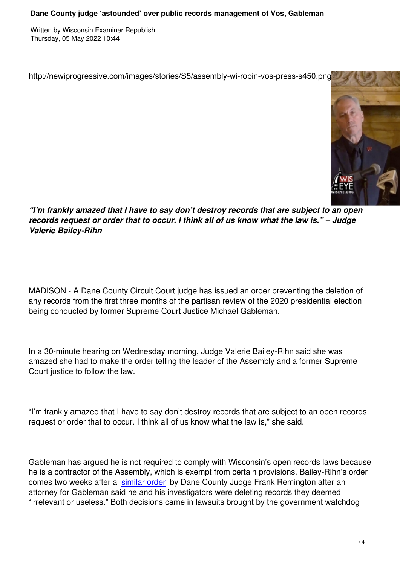http://newiprogressive.com/images/stories/S5/assembly-wi-robin-vos-press-s450.png



*"I'm frankly amazed that I have to say don't destroy records that are subject to an open records request or order that to occur. I think all of us know what the law is." – Judge Valerie Bailey-Rihn*

MADISON - A Dane County Circuit Court judge has issued an order preventing the deletion of any records from the first three months of the partisan review of the 2020 presidential election being conducted by former Supreme Court Justice Michael Gableman.

In a 30-minute hearing on Wednesday morning, Judge Valerie Bailey-Rihn said she was amazed she had to make the order telling the leader of the Assembly and a former Supreme Court justice to follow the law.

"I'm frankly amazed that I have to say don't destroy records that are subject to an open records request or order that to occur. I think all of us know what the law is," she said.

Gableman has argued he is not required to comply with Wisconsin's open records laws because he is a contractor of the Assembly, which is exempt from certain provisions. Bailey-Rihn's order comes two weeks after a similar order by Dane County Judge Frank Remington after an attorney for Gableman said he and his investigators were deleting records they deemed "irrelevant or useless." Both decisions came in lawsuits brought by the government watchdog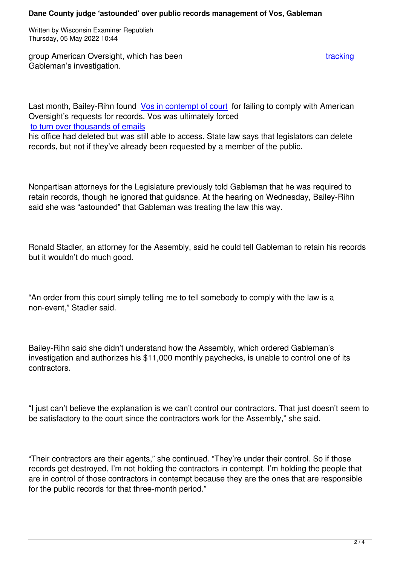group American Oversight, which has been tracking the state of the tracking tracking Gableman's investigation.

Last month, Bailey-Rihn found Vos in contempt of court for failing to comply with American Oversight's requests for records. Vos was ultimately forced to turn over thousands of emails

his office had deleted but was [still able to access. State](https://wisconsinexaminer.com/2022/03/30/vos-assembly-cited-for-contempt-after-not-turning-over-election-review-records/) law says that legislators can delete records, but not if they've already been requested by a member of the public.

Nonpartisan attorneys for the Legislature previously told Gableman that he was required to retain records, though he ignored that guidance. At the hearing on Wednesday, Bailey-Rihn said she was "astounded" that Gableman was treating the law this way.

Ronald Stadler, an attorney for the Assembly, said he could tell Gableman to retain his records but it wouldn't do much good.

"An order from this court simply telling me to tell somebody to comply with the law is a non-event," Stadler said.

Bailey-Rihn said she didn't understand how the Assembly, which ordered Gableman's investigation and authorizes his \$11,000 monthly paychecks, is unable to control one of its contractors.

"I just can't believe the explanation is we can't control our contractors. That just doesn't seem to be satisfactory to the court since the contractors work for the Assembly," she said.

"Their contractors are their agents," she continued. "They're under their control. So if those records get destroyed, I'm not holding the contractors in contempt. I'm holding the people that are in control of those contractors in contempt because they are the ones that are responsible for the public records for that three-month period."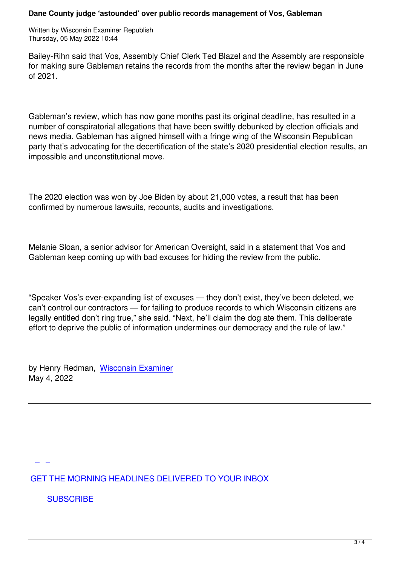Bailey-Rihn said that Vos, Assembly Chief Clerk Ted Blazel and the Assembly are responsible for making sure Gableman retains the records from the months after the review began in June of 2021.

Gableman's review, which has now gone months past its original deadline, has resulted in a number of conspiratorial allegations that have been swiftly debunked by election officials and news media. Gableman has aligned himself with a fringe wing of the Wisconsin Republican party that's advocating for the decertification of the state's 2020 presidential election results, an impossible and unconstitutional move.

The 2020 election was won by Joe Biden by about 21,000 votes, a result that has been confirmed by numerous lawsuits, recounts, audits and investigations.

Melanie Sloan, a senior advisor for American Oversight, said in a statement that Vos and Gableman keep coming up with bad excuses for hiding the review from the public.

"Speaker Vos's ever-expanding list of excuses — they don't exist, they've been deleted, we can't control our contractors — for failing to produce records to which Wisconsin citizens are legally entitled don't ring true," she said. "Next, he'll claim the dog ate them. This deliberate effort to deprive the public of information undermines our democracy and the rule of law."

by Henry Redman, Wisconsin Examiner May 4, 2022

GET THE MORNING HEADLINES DELIVERED TO YOUR INBOX

**[S](subscribe)UBSCRIBE**